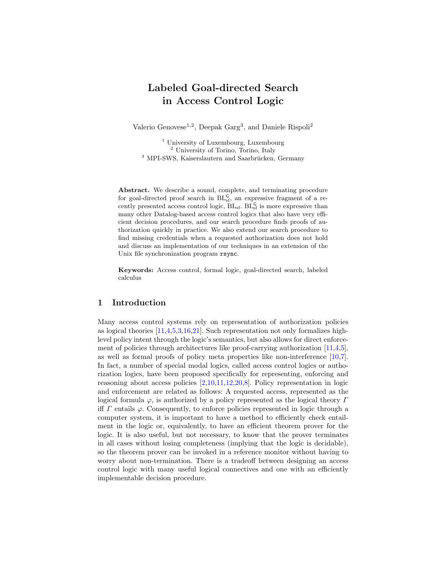### Labeled Goal-directed Search in Access Control Logic

Valerio Genovese<sup>1,2</sup>, Deepak Garg<sup>3</sup>, and Daniele Rispoli<sup>2</sup>

<sup>1</sup> University of Luxembourg, Luxembourg <sup>2</sup> University of Torino, Torino, Italy <sup>3</sup> MPI-SWS, Kaiserslautern and Saarbrücken, Germany

Abstract. We describe a sound, complete, and terminating procedure for goal-directed proof search in  $BL_{sf}^G$ , an expressive fragment of a recently presented access control logic,  $BL_{sf}$ .  $BL_{sf}$  is more expressive than many other Datalog-based access control logics that also have very efficient decision procedures, and our search procedure finds proofs of authorization quickly in practice. We also extend our search procedure to find missing credentials when a requested authorization does not hold and discuss an implementation of our techniques in an extension of the Unix file synchronization program rsync.

Keywords: Access control, formal logic, goal-directed search, labeled calculus

#### 1 Introduction

Many access control systems rely on representation of authorization policies as logical theories [\[11,](#page-15-0)[4,](#page-14-0)[5,](#page-14-1)[3](#page-14-2)[,16,](#page-15-1)[21\]](#page-15-2). Such representation not only formalizes highlevel policy intent through the logic's semantics, but also allows for direct enforcement of policies through architectures like proof-carrying authorization  $[11,4,5]$  $[11,4,5]$  $[11,4,5]$ , as well as formal proofs of policy meta properties like non-interference [\[10,](#page-15-3)[7\]](#page-14-3). In fact, a number of special modal logics, called access control logics or authorization logics, have been proposed specifically for representing, enforcing and reasoning about access policies  $[2,10,11,12,20,8]$  $[2,10,11,12,20,8]$  $[2,10,11,12,20,8]$  $[2,10,11,12,20,8]$  $[2,10,11,12,20,8]$  $[2,10,11,12,20,8]$ . Policy representation in logic and enforcement are related as follows: A requested access, represented as the logical formula  $\varphi$ , is authorized by a policy represented as the logical theory  $\Gamma$ iff  $\Gamma$  entails  $\varphi$ . Consequently, to enforce policies represented in logic through a computer system, it is important to have a method to efficiently check entailment in the logic or, equivalently, to have an efficient theorem prover for the logic. It is also useful, but not necessary, to know that the prover terminates in all cases without losing completeness (implying that the logic is decidable), so the theorem prover can be invoked in a reference monitor without having to worry about non-termination. There is a tradeoff between designing an access control logic with many useful logical connectives and one with an efficiently implementable decision procedure.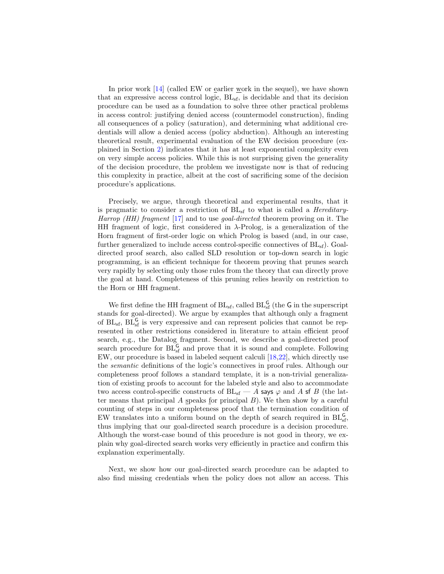In prior work  $[14]$  (called EW or earlier work in the sequel), we have shown that an expressive access control logic, BLsf, is decidable and that its decision procedure can be used as a foundation to solve three other practical problems in access control: justifying denied access (countermodel construction), finding all consequences of a policy (saturation), and determining what additional credentials will allow a denied access (policy abduction). Although an interesting theoretical result, experimental evaluation of the EW decision procedure (explained in Section [2\)](#page-2-0) indicates that it has at least exponential complexity even on very simple access policies. While this is not surprising given the generality of the decision procedure, the problem we investigate now is that of reducing this complexity in practice, albeit at the cost of sacrificing some of the decision procedure's applications.

Precisely, we argue, through theoretical and experimental results, that it is pragmatic to consider a restriction of  $BL<sub>sf</sub>$  to what is called a *Hereditary-*Harrop (HH) fragment [\[17\]](#page-15-8) and to use goal-directed theorem proving on it. The HH fragment of logic, first considered in λ-Prolog, is a generalization of the Horn fragment of first-order logic on which Prolog is based (and, in our case, further generalized to include access control-specific connectives of  $BL<sub>sf</sub>$ ). Goaldirected proof search, also called SLD resolution or top-down search in logic programming, is an efficient technique for theorem proving that prunes search very rapidly by selecting only those rules from the theory that can directly prove the goal at hand. Completeness of this pruning relies heavily on restriction to the Horn or HH fragment.

We first define the HH fragment of  $BL_{sf}$ , called  $BL_{sf}^G$  (the G in the superscript stands for goal-directed). We argue by examples that although only a fragment of  $BL<sub>sf</sub>$ ,  $BL<sub>sf</sub>$  is very expressive and can represent policies that cannot be represented in other restrictions considered in literature to attain efficient proof search, e.g., the Datalog fragment. Second, we describe a goal-directed proof search procedure for  $BL_{sf}^G$  and prove that it is sound and complete. Following EW, our procedure is based in labeled sequent calculi [\[18,](#page-15-9)[22\]](#page-15-10), which directly use the semantic definitions of the logic's connectives in proof rules. Although our completeness proof follows a standard template, it is a non-trivial generalization of existing proofs to account for the labeled style and also to accommodate two access control-specific constructs of  $BL<sub>sf</sub>$  – A says  $\varphi$  and A sf B (the latter means that principal  $A$  speaks for principal  $B$ ). We then show by a careful counting of steps in our completeness proof that the termination condition of EW translates into a uniform bound on the depth of search required in  $BL_{sf}^{\mathsf{G}}$ , thus implying that our goal-directed search procedure is a decision procedure. Although the worst-case bound of this procedure is not good in theory, we explain why goal-directed search works very efficiently in practice and confirm this explanation experimentally.

Next, we show how our goal-directed search procedure can be adapted to also find missing credentials when the policy does not allow an access. This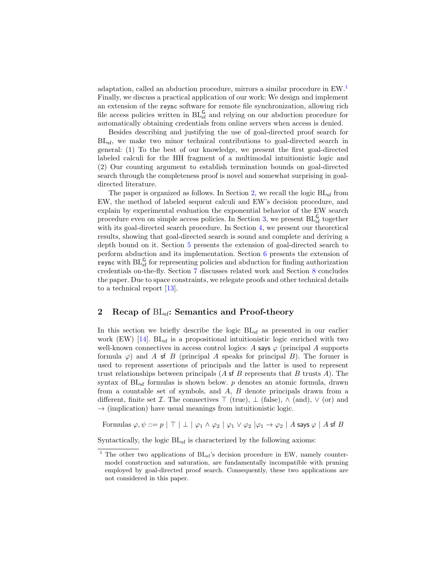adaptation, called an abduction procedure, mirrors a similar procedure in EW.[1](#page-2-1) Finally, we discuss a practical application of our work: We design and implement an extension of the rsync software for remote file synchronization, allowing rich file access policies written in  $BL_{sf}^G$  and relying on our abduction procedure for automatically obtaining credentials from online servers when access is denied.

Besides describing and justifying the use of goal-directed proof search for BLsf, we make two minor technical contributions to goal-directed search in general: (1) To the best of our knowledge, we present the first goal-directed labeled calculi for the HH fragment of a multimodal intuitionistic logic and (2) Our counting argument to establish termination bounds on goal-directed search through the completeness proof is novel and somewhat surprising in goaldirected literature.

The paper is organized as follows. In Section [2,](#page-2-0) we recall the logic  $BL<sub>sf</sub>$  from EW, the method of labeled sequent calculi and EW's decision procedure, and explain by experimental evaluation the exponential behavior of the EW search procedure even on simple access policies. In Section [3,](#page-7-0) we present  $BL_{sf}^G$  together with its goal-directed search procedure. In Section [4,](#page-9-0) we present our theoretical results, showing that goal-directed search is sound and complete and deriving a depth bound on it. Section [5](#page-10-0) presents the extension of goal-directed search to perform abduction and its implementation. Section [6](#page-12-0) presents the extension of **rsync** with  $BL_{sf}^G$  for representing policies and abduction for finding authorization credentials on-the-fly. Section [7](#page-13-0) discusses related work and Section [8](#page-14-5) concludes the paper. Due to space constraints, we relegate proofs and other technical details to a technical report [\[13\]](#page-15-11).

#### <span id="page-2-0"></span>2 Recap of  $BL<sub>sf</sub>$ : Semantics and Proof-theory

In this section we briefly describe the logic  $BL_{sf}$  as presented in our earlier work (EW)  $[14]$ . BL<sub>sf</sub> is a propositional intuitionistic logic enriched with two well-known connectives in access control logics: A says  $\varphi$  (principal A supports formula  $\varphi$ ) and A sf B (principal A speaks for principal B). The former is used to represent assertions of principals and the latter is used to represent trust relationships between principals  $(A \text{sf } B$  represents that  $B$  trusts  $A$ ). The syntax of  $BL_{sf}$  formulas is shown below. p denotes an atomic formula, drawn from a countable set of symbols, and A, B denote principals drawn from a different, finite set *I*. The connectives  $\top$  (true),  $\bot$  (false),  $\wedge$  (and),  $\vee$  (or) and  $\rightarrow$  (implication) have usual meanings from intuitionistic logic.

Formulas  $\varphi, \psi ::= p | \top | \bot | \varphi_1 \wedge \varphi_2 | \varphi_1 \vee \varphi_2 | \varphi_1 \rightarrow \varphi_2 | A$  says  $\varphi | A$  sf B

Syntactically, the logic  $BL<sub>sf</sub>$  is characterized by the following axioms:

<span id="page-2-1"></span><sup>&</sup>lt;sup>1</sup> The other two applications of  $BL_{sf}$ 's decision procedure in EW, namely countermodel construction and saturation, are fundamentally incompatible with pruning employed by goal-directed proof search. Consequently, these two applications are not considered in this paper.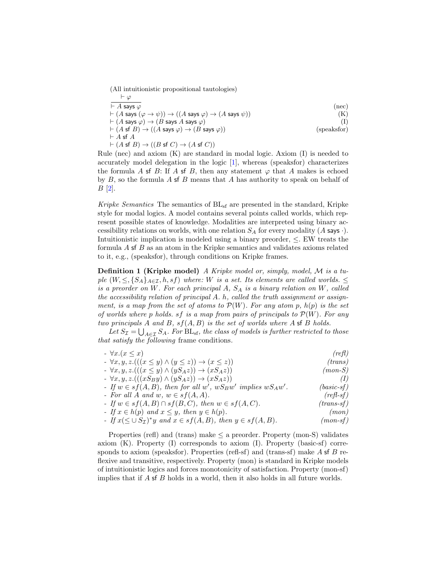(All intuitionistic propositional tautologies)

$$
\vdash \varphi
$$
\n
$$
\vdash A \text{ says } \varphi
$$
\n
$$
\vdash (A \text{ says } (\varphi \to \psi)) \to ((A \text{ says } \varphi) \to (A \text{ says } \psi))
$$
\n
$$
\vdash (A \text{ says } \varphi) \to (B \text{ says } A \text{ says } \varphi)
$$
\n
$$
\vdash (A \text{ sf } B) \to ((A \text{ says } \varphi) \to (B \text{ says } \varphi))
$$
\n
$$
\vdash A \text{ sf } A
$$
\n
$$
\vdash (A \text{ sf } B) \to ((B \text{ sf } C) \to (A \text{ sf } C))
$$
\n
$$
\vdash A \text{ sf } B \to ((B \text{ sf } C) \to (A \text{ sf } C))
$$
\n
$$
\vdash B \text{ sf } B \to (B \text{ sf } C) \to (A \text{ sf } C)
$$

Rule (nec) and axiom  $(K)$  are standard in modal logic. Axiom  $(I)$  is needed to accurately model delegation in the logic [\[1\]](#page-14-6), whereas (speaksfor) characterizes the formula A sf B: If A sf B, then any statement  $\varphi$  that A makes is echoed by  $B$ , so the formula  $\overline{A}$  of  $\overline{B}$  means that  $\overline{A}$  has authority to speak on behalf of  $B$  [\[2\]](#page-14-4).

Kripke Semantics The semantics of BL<sub>sf</sub> are presented in the standard, Kripke style for modal logics. A model contains several points called worlds, which represent possible states of knowledge. Modalities are interpreted using binary accessibility relations on worlds, with one relation  $S_A$  for every modality (A says  $\cdot$ ). Intuitionistic implication is modeled using a binary preorder,  $\leq$ . EW treats the formula A sf B as an atom in the Kripke semantics and validates axioms related to it, e.g., (speaksfor), through conditions on Kripke frames.

<span id="page-3-1"></span>Definition 1 (Kripke model) A Kripke model or, simply, model, M is a tuple  $(W, \leq, \{S_A\}_{A \in \mathcal{I}}, h, sf)$  where: W is a set. Its elements are called worlds.  $\leq$ is a preorder on W. For each principal A,  $S_A$  is a binary relation on W, called the accessibility relation of principal A. h, called the truth assignment or assignment, is a map from the set of atoms to  $\mathcal{P}(W)$ . For any atom p,  $h(p)$  is the set of worlds where p holds. sf is a map from pairs of principals to  $\mathcal{P}(W)$ . For any two principals A and B,  $sf(A, B)$  is the set of worlds where A sf B holds.

Let  $S_{\mathcal{I}} = \bigcup_{A \in \mathcal{I}} S_A$ . For  $\text{BL}_{\text{sf}}$ , the class of models is further restricted to those that satisfy the following frame conditions.

| $- \forall x.(x \leq x)$                                                              | (reft)              |
|---------------------------------------------------------------------------------------|---------------------|
| $\rightarrow \forall x, y, z. (((x \leq y) \land (y \leq z)) \rightarrow (x \leq z))$ | (trans)             |
| $\rightarrow \forall x, y, z. (((x \leq y) \land (yS_A z)) \rightarrow (xS_A z))$     | $(mon-S)$           |
| $\rightarrow \forall x, y, z. (((xS_B y) \wedge (yS_A z)) \rightarrow (xS_A z))$      | (I)                 |
| - If $w \in sf(A, B)$ , then for all w', $wS_Bw'$ implies $wS_Aw'$ .                  | $(basic\text{-}sf)$ |
| - For all A and w, $w \in sf(A, A)$ .                                                 | $(refl\text{-}sf)$  |
| - If $w \in sf(A, B) \cap sf(B, C)$ , then $w \in sf(A, C)$ .                         | $(trans-f)$         |
| - If $x \in h(p)$ and $x \leq y$ , then $y \in h(p)$ .                                | (mon)               |
| - If $x(\leq \cup S_{\mathcal{I}})^*y$ and $x \in sf(A, B)$ , then $y \in sf(A, B)$ . | $(mon-sf)$          |
|                                                                                       |                     |

<span id="page-3-0"></span>Properties (refl) and (trans) make  $\leq$  a preorder. Property (mon-S) validates axiom  $(K)$ . Property  $(I)$  corresponds to axiom  $(I)$ . Property (basic-sf) corresponds to axiom (speaksfor). Properties (refl-sf) and (trans-sf) make  $A$  sf  $B$  reflexive and transitive, respectively. Property (mon) is standard in Kripke models of intuitionistic logics and forces monotonicity of satisfaction. Property (mon-sf) implies that if A sf B holds in a world, then it also holds in all future worlds.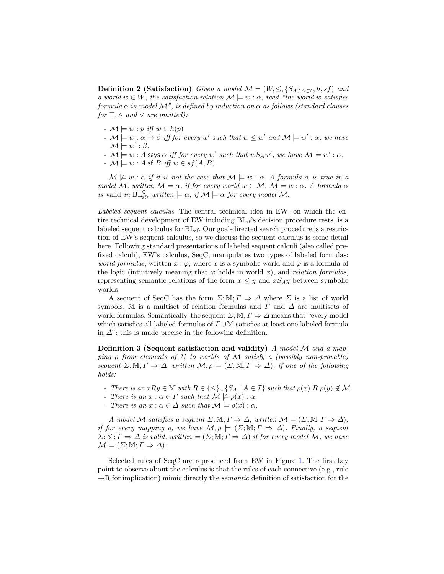**Definition 2 (Satisfaction)** Given a model  $\mathcal{M} = (W, \leq, \{S_A\}_{A \in \mathcal{I}}, h, sf)$  and a world  $w \in W$ , the satisfaction relation  $\mathcal{M} \models w : \alpha$ , read "the world w satisfies formula  $\alpha$  in model M", is defined by induction on  $\alpha$  as follows (standard clauses for  $\top, \wedge$  and  $\vee$  are omitted):

- $\mathcal{M} \models w : p \text{ iff } w \in h(p)$
- $\mathcal{M} \models w : \alpha \to \beta$  iff for every w' such that  $w \leq w'$  and  $\mathcal{M} \models w' : \alpha$ , we have  $\mathcal{M} \models w' : \beta.$
- $\mathcal{M} \models w : A$  says  $\alpha$  iff for every w' such that  $wS_Aw'$ , we have  $\mathcal{M} \models w' : \alpha$ .
- $-M \models w : A \text{sf } B \text{ iff } w \in sf(A, B).$

 $\mathcal{M} \not\models w : \alpha$  if it is not the case that  $\mathcal{M} \models w : \alpha$ . A formula  $\alpha$  is true in a model M, written  $M \models \alpha$ , if for every world  $w \in M$ ,  $M \models w : \alpha$ . A formula  $\alpha$ is valid in  $BL_{sf}^G$ , written  $\models \alpha$ , if  $\mathcal{M} \models \alpha$  for every model  $\mathcal{M}$ .

Labeled sequent calculus The central technical idea in EW, on which the entire technical development of EW including  $BL<sub>sf</sub>$ 's decision procedure rests, is a labeled sequent calculus for BLsf. Our goal-directed search procedure is a restriction of EW's sequent calculus, so we discuss the sequent calculus is some detail here. Following standard presentations of labeled sequent calculi (also called prefixed calculi), EW's calculus, SeqC, manipulates two types of labeled formulas: world formulas, written  $x : \varphi$ , where x is a symbolic world and  $\varphi$  is a formula of the logic (intuitively meaning that  $\varphi$  holds in world x), and relation formulas, representing semantic relations of the form  $x \leq y$  and  $xS_Ay$  between symbolic worlds.

A sequent of SeqC has the form  $\Sigma$ ; M;  $\Gamma \Rightarrow \Delta$  where  $\Sigma$  is a list of world symbols, M is a multiset of relation formulas and  $\Gamma$  and  $\Delta$  are multisets of world formulas. Semantically, the sequent  $\Sigma$ ; M;  $\Gamma \Rightarrow \Delta$  means that "every model which satisfies all labeled formulas of  $\Gamma \cup \mathbb{M}$  satisfies at least one labeled formula in  $\Delta$ "; this is made precise in the following definition.

Definition 3 (Sequent satisfaction and validity) A model  $\mathcal M$  and a mapping  $\rho$  from elements of  $\Sigma$  to worlds of M satisfy a (possibly non-provable) sequent  $\Sigma$ ; M;  $\Gamma \Rightarrow \Delta$ , written  $\mathcal{M}, \rho \models (\Sigma; \mathbb{M}; \Gamma \Rightarrow \Delta)$ , if one of the following holds:

- There is an  $xRy \in M$  with  $R \in \{\leq\} \cup \{S_A \mid A \in \mathcal{I}\}\$  such that  $\rho(x) \in \mathcal{M}$ .
- There is an  $x : \alpha \in \Gamma$  such that  $\mathcal{M} \not\models \rho(x) : \alpha$ .
- There is an  $x : \alpha \in \Delta$  such that  $\mathcal{M} \models \rho(x) : \alpha$ .

A model M satisfies a sequent  $\Sigma$ ;  $\mathbb{M}$ ;  $\Gamma \Rightarrow \Delta$ , written  $\mathcal{M} \models (\Sigma; \mathbb{M}; \Gamma \Rightarrow \Delta)$ , if for every mapping  $\rho$ , we have  $\mathcal{M}, \rho \models (\Sigma; \mathbb{M}; \Gamma \Rightarrow \Delta)$ . Finally, a sequent  $\Sigma$ ; M;  $\Gamma \Rightarrow \Delta$  is valid, written  $\models (\Sigma; \mathbb{M}; \Gamma \Rightarrow \Delta)$  if for every model M, we have  $\mathcal{M} \models (\Sigma; \mathbb{M}; \Gamma \Rightarrow \Delta).$ 

Selected rules of SeqC are reproduced from EW in Figure [1.](#page-5-0) The first key point to observe about the calculus is that the rules of each connective (e.g., rule  $\rightarrow$ R for implication) mimic directly the *semantic* definition of satisfaction for the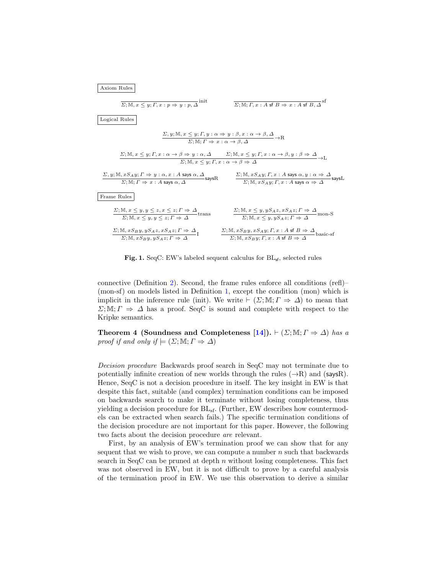

<span id="page-5-0"></span>Fig. 1. SeqC: EW's labeled sequent calculus for  $BL_{sf}$ , selected rules

connective (Definition [2\)](#page-3-0). Second, the frame rules enforce all conditions (refl)– (mon-sf) on models listed in Definition [1,](#page-3-1) except the condition (mon) which is implicit in the inference rule (init). We write  $\vdash$  ( $\Sigma$ ; M;  $\Gamma \Rightarrow \Delta$ ) to mean that  $\Sigma$ ; M;  $\Gamma \Rightarrow \Delta$  has a proof. SeqC is sound and complete with respect to the Kripke semantics.

<span id="page-5-1"></span>Theorem 4 (Soundness and Completeness [\[14\]](#page-15-7)).  $\vdash (\Sigma;\mathbb{M};\Gamma \Rightarrow \Delta)$  has a proof if and only if  $\models$   $(\Sigma; \mathbb{M}; \Gamma \Rightarrow \Delta)$ 

Decision procedure Backwards proof search in SeqC may not terminate due to potentially infinite creation of new worlds through the rules  $(\rightarrow R)$  and (saysR). Hence, SeqC is not a decision procedure in itself. The key insight in EW is that despite this fact, suitable (and complex) termination conditions can be imposed on backwards search to make it terminate without losing completeness, thus yielding a decision procedure for  $BL_{sf}$ . (Further, EW describes how countermodels can be extracted when search fails.) The specific termination conditions of the decision procedure are not important for this paper. However, the following two facts about the decision procedure are relevant.

First, by an analysis of EW's termination proof we can show that for any sequent that we wish to prove, we can compute a number  $n$  such that backwards search in SeqC can be pruned at depth  $n$  without losing completeness. This fact was not observed in EW, but it is not difficult to prove by a careful analysis of the termination proof in EW. We use this observation to derive a similar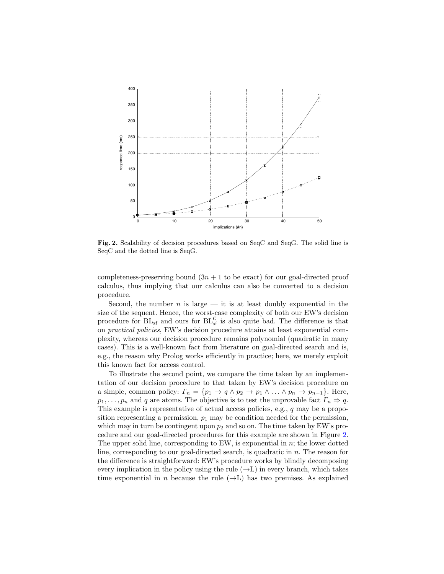

<span id="page-6-0"></span>Fig. 2. Scalability of decision procedures based on SeqC and SeqG. The solid line is SeqC and the dotted line is SeqG.

completeness-preserving bound  $(3n + 1$  to be exact) for our goal-directed proof calculus, thus implying that our calculus can also be converted to a decision procedure.

Second, the number  $n$  is large — it is at least doubly exponential in the size of the sequent. Hence, the worst-case complexity of both our EW's decision procedure for  $BL_{sf}$  and ours for  $BL_{sf}^G$  is also quite bad. The difference is that on practical policies, EW's decision procedure attains at least exponential complexity, whereas our decision procedure remains polynomial (quadratic in many cases). This is a well-known fact from literature on goal-directed search and is, e.g., the reason why Prolog works efficiently in practice; here, we merely exploit this known fact for access control.

To illustrate the second point, we compare the time taken by an implementation of our decision procedure to that taken by EW's decision procedure on a simple, common policy:  $\Gamma_n = \{p_1 \to q \land p_2 \to p_1 \land \dots \land p_n \to p_{n-1}\}.$  Here,  $p_1, \ldots, p_n$  and q are atoms. The objective is to test the unprovable fact  $\Gamma_n \Rightarrow q$ . This example is representative of actual access policies, e.g., q may be a proposition representing a permission,  $p_1$  may be condition needed for the permission, which may in turn be contingent upon  $p_2$  and so on. The time taken by EW's procedure and our goal-directed procedures for this example are shown in Figure [2.](#page-6-0) The upper solid line, corresponding to EW, is exponential in  $n$ ; the lower dotted line, corresponding to our goal-directed search, is quadratic in  $n$ . The reason for the difference is straightforward: EW's procedure works by blindly decomposing every implication in the policy using the rule  $(\rightarrow L)$  in every branch, which takes time exponential in n because the rule  $(\rightarrow L)$  has two premises. As explained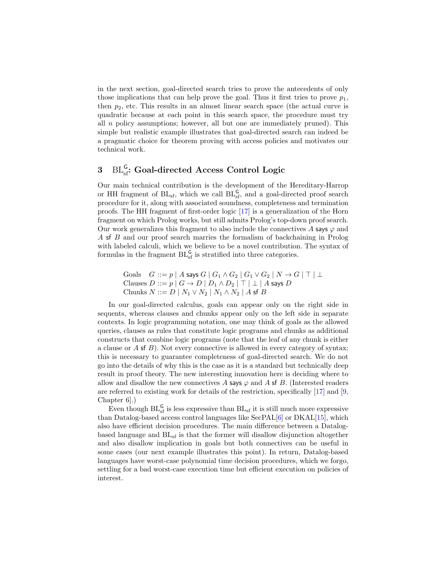in the next section, goal-directed search tries to prove the antecedents of only those implications that can help prove the goal. Thus it first tries to prove  $p_1$ , then  $p_2$ , etc. This results in an almost linear search space (the actual curve is quadratic because at each point in this search space, the procedure must try all  $n$  policy assumptions; however, all but one are immediately pruned). This simple but realistic example illustrates that goal-directed search can indeed be a pragmatic choice for theorem proving with access policies and motivates our technical work.

# <span id="page-7-0"></span> $3$  BL<sub>ss</sub>: Goal-directed Access Control Logic

Our main technical contribution is the development of the Hereditary-Harrop or HH fragment of  $BL_{sf}$ , which we call  $BL_{sf}^G$ , and a goal-directed proof search procedure for it, along with associated soundness, completeness and termination proofs. The HH fragment of first-order logic [\[17\]](#page-15-8) is a generalization of the Horn fragment on which Prolog works, but still admits Prolog's top-down proof search. Our work generalizes this fragment to also include the connectives A says  $\varphi$  and A sf B and our proof search marries the formalism of backchaining in Prolog with labeled calculi, which we believe to be a novel contribution. The syntax of formulas in the fragment  $BL_{sf}^G$  is stratified into three categories.

```
Goals G ::= p | A says G | G_1 \wedge G_2 | G_1 \vee G_2 | N \rightarrow G | T | LClauses D ::= p | G \rightarrow D | D_1 \land D_2 | \top | \bot | A says DChunks N ::= D \mid N_1 \vee N_2 \mid N_1 \wedge N_2 \mid A sf B
```
In our goal-directed calculus, goals can appear only on the right side in sequents, whereas clauses and chunks appear only on the left side in separate contexts. In logic programming notation, one may think of goals as the allowed queries, clauses as rules that constitute logic programs and chunks as additional constructs that combine logic programs (note that the leaf of any chunk is either a clause or  $\overline{A}$  sf  $\overline{B}$ ). Not every connective is allowed in every category of syntax; this is necessary to guarantee completeness of goal-directed search. We do not go into the details of why this is the case as it is a standard but technically deep result in proof theory. The new interesting innovation here is deciding where to allow and disallow the new connectives A says  $\varphi$  and A sf B. (Interested readers are referred to existing work for details of the restriction, specifically [\[17\]](#page-15-8) and [\[9,](#page-15-12) Chapter 6].)

Even though  $BL_{sf}^G$  is less expressive than  $BL_{sf}$  it is still much more expressive than Datalog-based access control languages like SecPAL[\[6\]](#page-14-7) or DKAL[\[15\]](#page-15-13), which also have efficient decision procedures. The main difference between a Datalogbased language and  $BL<sub>sf</sub>$  is that the former will disallow disjunction altogether and also disallow implication in goals but both connectives can be useful in some cases (our next example illustrates this point). In return, Datalog-based languages have worst-case polynomial time decision procedures, which we forgo, settling for a bad worst-case execution time but efficient execution on policies of interest.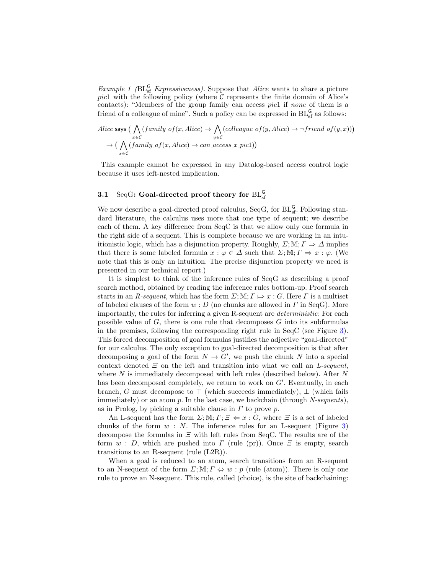*Example 1* ( $BL_{sf}^G$  *Expressiveness*). Suppose that *Alice* wants to share a picture pic1 with the following policy (where  $\mathcal C$  represents the finite domain of Alice's contacts): "Members of the group family can access *pic1* if *none* of them is a friend of a colleague of mine". Such a policy can be expressed in  $BL_{sf}^G$  as follows:

Alice says 
$$
(\bigwedge_{x \in C} (family\_of(x, Alice) \rightarrow \bigwedge_{y \in C} (collect(y, Alice) \rightarrow \neg friend \_of(y, x)))
$$

$$
\rightarrow (\bigwedge_{x \in C} (family\_of(x, Alice) \rightarrow can \_access\_x\_pic1))
$$

This example cannot be expressed in any Datalog-based access control logic because it uses left-nested implication.

### <span id="page-8-0"></span> $3.1$  SeqG: Goal-directed proof theory for  $\mathrm{BL}^\mathsf{G}_\mathrm{sf}$

We now describe a goal-directed proof calculus, SeqG, for  $BL_{sf}^G$ . Following standard literature, the calculus uses more that one type of sequent; we describe each of them. A key difference from SeqC is that we allow only one formula in the right side of a sequent. This is complete because we are working in an intuitionistic logic, which has a disjunction property. Roughly,  $\Sigma$ ; M;  $\Gamma \Rightarrow \Delta$  implies that there is some labeled formula  $x : \varphi \in \Delta$  such that  $\Sigma$ ; M;  $\Gamma \Rightarrow x : \varphi$ . (We note that this is only an intuition. The precise disjunction property we need is presented in our technical report.)

It is simplest to think of the inference rules of SeqG as describing a proof search method, obtained by reading the inference rules bottom-up. Proof search starts in an R-sequent, which has the form  $\Sigma$ ;  $\mathbb{M}$ ;  $\Gamma \mapsto x : G$ . Here  $\Gamma$  is a multiset of labeled clauses of the form  $w : D$  (no chunks are allowed in  $\Gamma$  in SeqG). More importantly, the rules for inferring a given R-sequent are deterministic: For each possible value of  $G$ , there is one rule that decomposes  $G$  into its subformulas in the premises, following the corresponding right rule in SeqC (see Figure [3\)](#page-10-1). This forced decomposition of goal formulas justifies the adjective "goal-directed" for our calculus. The only exception to goal-directed decomposition is that after decomposing a goal of the form  $N \to G'$ , we push the chunk N into a special context denoted  $\Xi$  on the left and transition into what we call an L-sequent, where  $N$  is immediately decomposed with left rules (described below). After  $N$ has been decomposed completely, we return to work on  $G'$ . Eventually, in each branch, G must decompose to  $\top$  (which succeeds immediately),  $\bot$  (which fails immediately) or an atom p. In the last case, we backchain (through  $N\text{-}sequences$ ), as in Prolog, by picking a suitable clause in  $\Gamma$  to prove  $p$ .

An L-sequent has the form  $\Sigma$ ; M;  $\Gamma$ ;  $\Xi \Leftarrow x : G$ , where  $\Xi$  is a set of labeled chunks of the form  $w : N$ . The inference rules for an L-sequent (Figure [3\)](#page-10-1) decompose the formulas in  $\Xi$  with left rules from SeqC. The results are of the form  $w : D$ , which are pushed into  $\Gamma$  (rule (pr)). Once  $\Xi$  is empty, search transitions to an R-sequent (rule (L2R)).

When a goal is reduced to an atom, search transitions from an R-sequent to an N-sequent of the form  $\Sigma$ ; M;  $\Gamma \Leftrightarrow w : p$  (rule (atom)). There is only one rule to prove an N-sequent. This rule, called (choice), is the site of backchaining: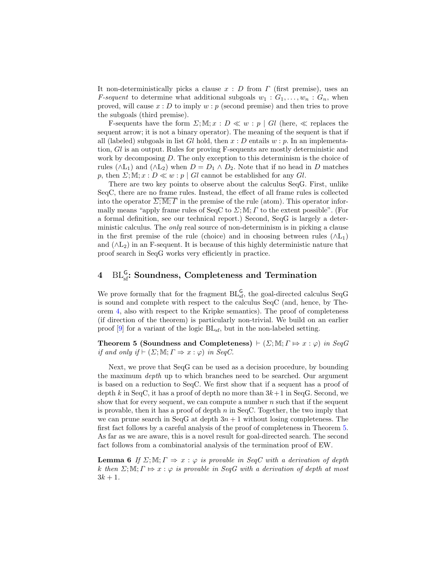It non-deterministically picks a clause  $x : D$  from  $\Gamma$  (first premise), uses an *F-sequent* to determine what additional subgoals  $w_1 : G_1, \ldots, w_n : G_n$ , when proved, will cause  $x : D$  to imply  $w : p$  (second premise) and then tries to prove the subgoals (third premise).

F-sequents have the form  $\Sigma$ ; M;  $x : D \ll w : p | Gl$  (here,  $\ll$  replaces the sequent arrow; it is not a binary operator). The meaning of the sequent is that if all (labeled) subgoals in list Gl hold, then  $x : D$  entails  $w : p$ . In an implementation, Gl is an output. Rules for proving F-sequents are mostly deterministic and work by decomposing D. The only exception to this determinism is the choice of rules ( $\wedge L_1$ ) and ( $\wedge L_2$ ) when  $D = D_1 \wedge D_2$ . Note that if no head in D matches p, then  $\Sigma$ ; M;  $x : D \ll w : p \mid Gl$  cannot be established for any Gl.

There are two key points to observe about the calculus SeqG. First, unlike SeqC, there are no frame rules. Instead, the effect of all frame rules is collected into the operator  $\overline{\Sigma;\mathbb{M};\Gamma}$  in the premise of the rule (atom). This operator informally means "apply frame rules of SeqC to  $\Sigma$ ; M;  $\Gamma$  to the extent possible". (For a formal definition, see our technical report.) Second, SeqG is largely a deterministic calculus. The only real source of non-determinism is in picking a clause in the first premise of the rule (choice) and in choosing between rules ( $\wedge L_1$ ) and  $(\wedge L_2)$  in an F-sequent. It is because of this highly deterministic nature that proof search in SeqG works very efficiently in practice.

# <span id="page-9-0"></span> $4\quad \, \mathrm{BL}_{\rm sf}^{\sf G}\colon$  Soundness, Completeness and Termination

We prove formally that for the fragment  $BL_{sf}^G$ , the goal-directed calculus SeqG is sound and complete with respect to the calculus SeqC (and, hence, by Theorem [4,](#page-5-1) also with respect to the Kripke semantics). The proof of completeness (if direction of the theorem) is particularly non-trivial. We build on an earlier proof  $[9]$  for a variant of the logic  $BL_{sf}$ , but in the non-labeled setting.

<span id="page-9-1"></span>**Theorem 5 (Soundness and Completeness)**  $\vdash (\Sigma; \mathbb{M}; \Gamma \Rightarrow x : \varphi)$  in SeqG if and only if  $\vdash (\Sigma; \mathbb{M}; \Gamma \Rightarrow x : \varphi)$  in SeqC.

Next, we prove that SeqG can be used as a decision procedure, by bounding the maximum depth up to which branches need to be searched. Our argument is based on a reduction to SeqC. We first show that if a sequent has a proof of depth k in SeqC, it has a proof of depth no more than  $3k+1$  in SeqG. Second, we show that for every sequent, we can compute a number  $n$  such that if the sequent is provable, then it has a proof of depth  $n$  in SeqC. Together, the two imply that we can prune search in SeqG at depth  $3n + 1$  without losing completeness. The first fact follows by a careful analysis of the proof of completeness in Theorem [5.](#page-9-1) As far as we are aware, this is a novel result for goal-directed search. The second fact follows from a combinatorial analysis of the termination proof of EW.

<span id="page-9-2"></span>**Lemma 6** If  $\Sigma$ ;  $\mathbb{M}$ ;  $\Gamma \Rightarrow x : \varphi$  is provable in SeqC with a derivation of depth k then  $\Sigma$ ;  $\mathbb{M}$ ;  $\Gamma \mapsto x : \varphi$  is provable in SeqG with a derivation of depth at most  $3k + 1$ .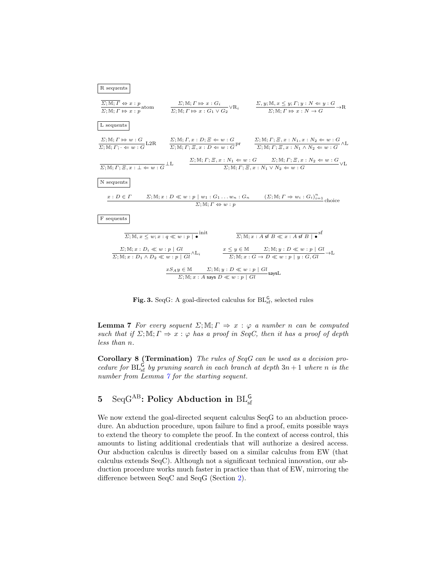

<span id="page-10-1"></span>Fig. 3. SeqG: A goal-directed calculus for  $BL_{sf}^G$ , selected rules

**Lemma 7** For every sequent  $\Sigma$ ;  $\mathbb{M}$ ;  $\Gamma \Rightarrow x : \varphi$  a number n can be computed such that if  $\Sigma$ ; M;  $\Gamma \Rightarrow x : \varphi$  has a proof in SeqC, then it has a proof of depth less than n.

<span id="page-10-2"></span>Corollary 8 (Termination) The rules of SeqG can be used as a decision procedure for  $BL_{sf}^G$  by pruning search in each branch at depth  $3n + 1$  where n is the number from Lemma  $\gamma$  for the starting sequent.

# <span id="page-10-0"></span> $5$   $\,$   $\rm SeqG^{AB}\colon$  Policy Abduction in  $\rm BL_{\rm sf}^{\rm G}$

We now extend the goal-directed sequent calculus SeqG to an abduction procedure. An abduction procedure, upon failure to find a proof, emits possible ways to extend the theory to complete the proof. In the context of access control, this amounts to listing additional credentials that will authorize a desired access. Our abduction calculus is directly based on a similar calculus from EW (that calculus extends SeqC). Although not a significant technical innovation, our abduction procedure works much faster in practice than that of EW, mirroring the difference between SeqC and SeqG (Section [2\)](#page-2-0).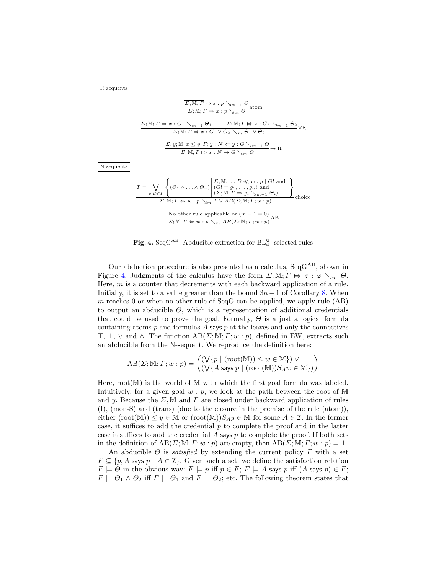R sequents

 $N$  seque

$$
\frac{\overline{\Sigma}; \mathbb{M}; \Gamma \Leftrightarrow x : p \searrow_{m-1} \Theta}{\Sigma; \mathbb{M}; \Gamma \mapsto x : p \searrow_m \Theta} \text{atom}
$$
\n
$$
\frac{\Sigma; \mathbb{M}; \Gamma \mapsto x : G_1 \searrow_{m-1} \Theta_1 \qquad \Sigma; \mathbb{M}; \Gamma \mapsto x : G_2 \searrow_{m-1} \Theta_2}{\Sigma; \mathbb{M}; \Gamma \mapsto x : G_1 \vee G_2 \searrow_m \Theta_1 \vee \Theta_2} \vee \mathbb{R}
$$
\n
$$
\frac{\Sigma, y; \mathbb{M}, x \leq y; \Gamma; y : N \leq y : G \searrow_{m-1} \Theta}{\Sigma; \mathbb{M}; \Gamma \mapsto x : N \to G \searrow_m \Theta} \to \mathbb{R}
$$
\nnts

\n
$$
T = \bigvee \left\{ (\Theta_1 \wedge \ldots \wedge \Theta_n) \middle| \begin{matrix} \Sigma; \mathbb{M}, x : D \ll w : p \mid Gl \text{ and} \\ (Gl = g_1, \ldots, g_n) \text{ and} \end{matrix} \right\}
$$

$$
= \bigvee_{x:D \in \Gamma} \left\{ \begin{array}{l} (\Theta_1 \wedge \ldots \wedge \Theta_n) \mid (G \in g_1, \ldots, g_n) \text{ and } \\ (\Sigma; \mathbb{M}; \Gamma \Leftrightarrow g_i \searrow_{m-1} \Theta_i) \end{array} \right\}
$$
  
 
$$
\Sigma; \mathbb{M}; \Gamma \Leftrightarrow w : p \searrow_m T \vee AB(\Sigma; \mathbb{M}; \Gamma; w : p)
$$
  
No other rule applicable or  $(m - 1 = 0)$   

$$
\Sigma; \mathbb{M}; \Gamma \Leftrightarrow w : p \searrow_m AB(\Sigma; \mathbb{M}; \Gamma; w : p)
$$
AB

Fig. 4. Seq $G^{AB}$ : Abducible extraction for  $BL_{sf}^G$ , selected rules

<span id="page-11-0"></span>Our abduction procedure is also presented as a calculus, SeqGAB, shown in Figure [4.](#page-11-0) Judgments of the calculus have the form  $\Sigma; \mathbb{M}; \Gamma \mapsto z : \varphi \setminus_{\mathbb{M}} \Theta$ . Here, m is a counter that decrements with each backward application of a rule. Initially, it is set to a value greater than the bound  $3n + 1$  of Corollary [8.](#page-10-2) When m reaches 0 or when no other rule of SeqG can be applied, we apply rule (AB) to output an abducible  $\Theta$ , which is a representation of additional credentials that could be used to prove the goal. Formally,  $\Theta$  is a just a logical formula containing atoms  $p$  and formulas  $\tilde{A}$  says  $p$  at the leaves and only the connectives  $\top$ ,  $\bot$ ,  $\lor$  and  $\land$ . The function  $AB(\Sigma;\mathbb{M};\Gamma;w:p)$ , defined in EW, extracts such an abducible from the N-sequent. We reproduce the definition here:

$$
AB(\Sigma; \mathbb{M}; \Gamma; w: p) = \begin{pmatrix} (\bigvee \{p \mid (\text{root}(\mathbb{M})) \le w \in \mathbb{M}\}) \vee \\ (\bigvee \{A \text{ says } p \mid (\text{root}(\mathbb{M})) S_A w \in \mathbb{M}\}) \end{pmatrix}
$$

Here,  $root(M)$  is the world of M with which the first goal formula was labeled. Intuitively, for a given goal  $w : p$ , we look at the path between the root of M and y. Because the  $\Sigma$ , M and  $\Gamma$  are closed under backward application of rules (I), (mon-S) and (trans) (due to the closure in the premise of the rule (atom)), either  $(\text{root}(\mathbb{M})) \leq y \in \mathbb{M}$  or  $(\text{root}(\mathbb{M}))S_A y \in \mathbb{M}$  for some  $A \in \mathcal{I}$ . In the former case, it suffices to add the credential  $p$  to complete the proof and in the latter case it suffices to add the credential  $A$  says  $p$  to complete the proof. If both sets in the definition of  $AB(\Sigma;\mathbb{M};\Gamma;w:p)$  are empty, then  $AB(\Sigma;\mathbb{M};\Gamma;w:p) = \bot$ .

An abducible  $\Theta$  is *satisfied* by extending the current policy  $\Gamma$  with a set  $F \subseteq \{p, A \text{ says } p \mid A \in \mathcal{I}\}\$ . Given such a set, we define the satisfaction relation  $F \models \Theta$  in the obvious way:  $F \models p$  iff  $p \in F$ ;  $F \models A$  says  $p$  iff  $(A$  says  $p) \in F$ ;  $F \models \Theta_1 \land \Theta_2$  iff  $F \models \Theta_1$  and  $F \models \Theta_2$ ; etc. The following theorem states that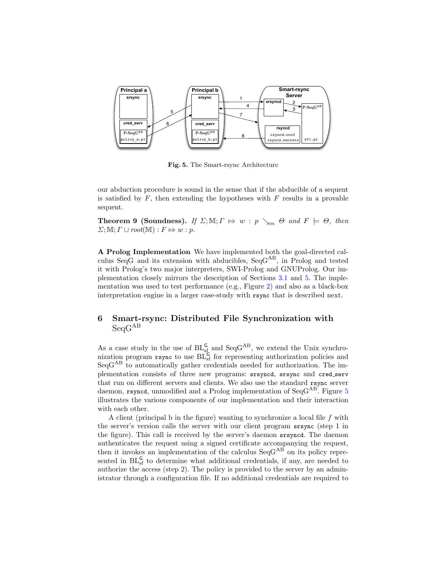

<span id="page-12-1"></span>Fig. 5. The Smart-rsync Architecture

our abduction procedure is sound in the sense that if the abducible of a sequent is satisfied by  $F$ , then extending the hypotheses with  $F$  results in a provable sequent.

**Theorem 9 (Soundness).** If  $\Sigma$ ;  $\mathbb{M}$ ;  $\Gamma \implies w : p \searrow_m \Theta$  and  $F \models \Theta$ , then  $\Sigma$ ; M;  $\Gamma \cup root(M) : F \mapsto w : p$ .

A Prolog Implementation We have implemented both the goal-directed calculus SeqG and its extension with abducibles,  $SeqG^{AB}$ , in Prolog and tested it with Prolog's two major interpreters, SWI-Prolog and GNUProlog. Our implementation closely mirrors the description of Sections [3.1](#page-8-0) and [5.](#page-10-0) The implementation was used to test performance (e.g., Figure [2\)](#page-6-0) and also as a black-box interpretation engine in a larger case-study with rsync that is described next.

### <span id="page-12-0"></span>6 Smart-rsync: Distributed File Synchronization with  $ScaG^{AB}$

As a case study in the use of  $BL_{sf}^G$  and  $SeqG^{AB}$ , we extend the Unix synchronization program rsync to use  $BL_{sf}^{G}$  for representing authorization policies and SeqG<sup>AB</sup> to automatically gather credentials needed for authorization. The implementation consists of three new programs: srsyncd, srsync and cred serv that run on different servers and clients. We also use the standard rsync server daemon, rsyncd, unmodified and a Prolog implementation of  $SeqG^{AB}$ . Figure [5](#page-12-1) illustrates the various components of our implementation and their interaction with each other.

A client (principal b in the figure) wanting to synchronize a local file f with the server's version calls the server with our client program srsync (step 1 in the figure). This call is received by the server's daemon srsyncd. The daemon authenticates the request using a signed certificate accompanying the request, then it invokes an implementation of the calculus  $\text{SeqG}^{AB}$  on its policy represented in  $BL_{sf}^G$  to determine what additional credentials, if any, are needed to authorize the access (step 2). The policy is provided to the server by an administrator through a configuration file. If no additional credentials are required to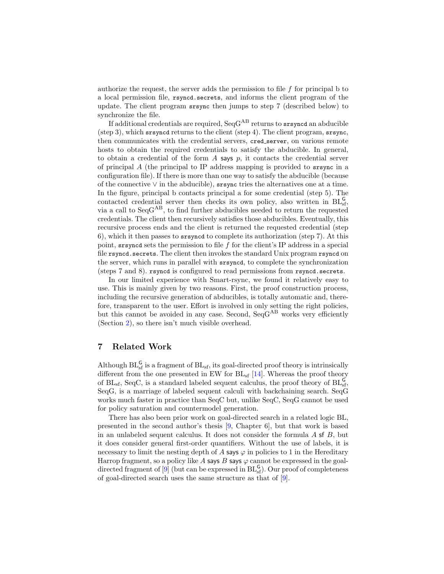authorize the request, the server adds the permission to file  $f$  for principal b to a local permission file, rsyncd.secrets, and informs the client program of the update. The client program srsync then jumps to step 7 (described below) to synchronize the file.

If additional credentials are required,  $SeqG^{AB}$  returns to srsyncd an abducible (step 3), which srsyncd returns to the client (step 4). The client program, srsync, then communicates with the credential servers, cred server, on various remote hosts to obtain the required credentials to satisfy the abducible. In general, to obtain a credential of the form  $A$  says  $p$ , it contacts the credential server of principal A (the principal to IP address mapping is provided to srsync in a configuration file). If there is more than one way to satisfy the abducible (because of the connective  $\vee$  in the abducible), srsync tries the alternatives one at a time. In the figure, principal b contacts principal a for some credential (step 5). The contacted credential server then checks its own policy, also written in  $BL_{sf}^G$ , via a call to  $SeqG^{AB}$ , to find further abducibles needed to return the requested credentials. The client then recursively satisfies those abducibles. Eventually, this recursive process ends and the client is returned the requested credential (step 6), which it then passes to srsyncd to complete its authorization (step 7). At this point, srsyncd sets the permission to file f for the client's IP address in a special file rsyncd.secrets. The client then invokes the standard Unix program rsyncd on the server, which runs in parallel with srsyncd, to complete the synchronization (steps 7 and 8). rsyncd is configured to read permissions from rsyncd.secrets.

In our limited experience with Smart-rsync, we found it relatively easy to use. This is mainly given by two reasons. First, the proof construction process, including the recursive generation of abducibles, is totally automatic and, therefore, transparent to the user. Effort is involved in only setting the right policies, but this cannot be avoided in any case. Second, SeqG<sup>AB</sup> works very efficiently (Section [2\)](#page-2-0), so there isn't much visible overhead.

### <span id="page-13-0"></span>7 Related Work

Although  $BL_{sf}^G$  is a fragment of  $BL_{sf}$ , its goal-directed proof theory is intrinsically different from the one presented in EW for  $BL_{sf}$  [\[14\]](#page-15-7). Whereas the proof theory of  $BL<sub>sf</sub>$ , SeqC, is a standard labeled sequent calculus, the proof theory of  $BL<sub>sf</sub>$ <sup>G</sup>, SeqG, is a marriage of labeled sequent calculi with backchaining search. SeqG works much faster in practice than SeqC but, unlike SeqC, SeqG cannot be used for policy saturation and countermodel generation.

There has also been prior work on goal-directed search in a related logic BL, presented in the second author's thesis [\[9,](#page-15-12) Chapter 6], but that work is based in an unlabeled sequent calculus. It does not consider the formula  $A$  sf  $B$ , but it does consider general first-order quantifiers. Without the use of labels, it is necessary to limit the nesting depth of A says  $\varphi$  in policies to 1 in the Hereditary Harrop fragment, so a policy like A says B says  $\varphi$  cannot be expressed in the goal-directed fragment of [\[9\]](#page-15-12) (but can be expressed in  $BL_{sf}^{G}$ ). Our proof of completeness of goal-directed search uses the same structure as that of [\[9\]](#page-15-12).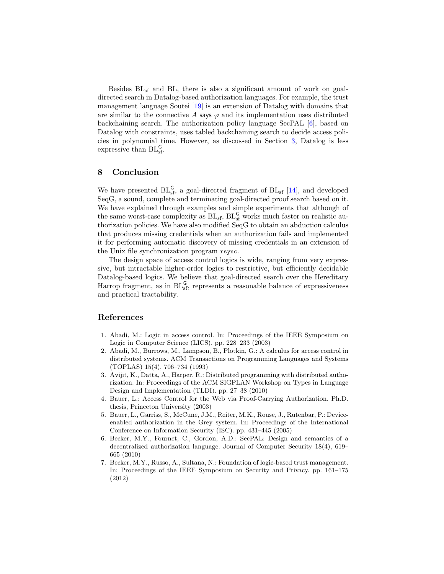Besides  $BL<sub>sf</sub>$  and  $BL<sub>t</sub>$ , there is also a significant amount of work on goaldirected search in Datalog-based authorization languages. For example, the trust management language Soutei [\[19\]](#page-15-14) is an extension of Datalog with domains that are similar to the connective A says  $\varphi$  and its implementation uses distributed backchaining search. The authorization policy language SecPAL [\[6\]](#page-14-7), based on Datalog with constraints, uses tabled backchaining search to decide access policies in polynomial time. However, as discussed in Section [3,](#page-7-0) Datalog is less expressive than  $BL_{sf}^{\mathsf{G}}$ .

#### <span id="page-14-5"></span>8 Conclusion

We have presented  $BL_{sf}^G$ , a goal-directed fragment of  $BL_{sf}$  [\[14\]](#page-15-7), and developed SeqG, a sound, complete and terminating goal-directed proof search based on it. We have explained through examples and simple experiments that although of the same worst-case complexity as  $BL_{sf}$ ,  $BL_{sf}^G$  works much faster on realistic authorization policies. We have also modified SeqG to obtain an abduction calculus that produces missing credentials when an authorization fails and implemented it for performing automatic discovery of missing credentials in an extension of the Unix file synchronization program rsync.

The design space of access control logics is wide, ranging from very expressive, but intractable higher-order logics to restrictive, but efficiently decidable Datalog-based logics. We believe that goal-directed search over the Hereditary Harrop fragment, as in  $BL_{sf}^G$ , represents a reasonable balance of expressiveness and practical tractability.

#### References

- <span id="page-14-6"></span>1. Abadi, M.: Logic in access control. In: Proceedings of the IEEE Symposium on Logic in Computer Science (LICS). pp. 228–233 (2003)
- <span id="page-14-4"></span>2. Abadi, M., Burrows, M., Lampson, B., Plotkin, G.: A calculus for access control in distributed systems. ACM Transactions on Programming Languages and Systems (TOPLAS) 15(4), 706–734 (1993)
- <span id="page-14-2"></span>3. Avijit, K., Datta, A., Harper, R.: Distributed programming with distributed authorization. In: Proceedings of the ACM SIGPLAN Workshop on Types in Language Design and Implementation (TLDI). pp. 27–38 (2010)
- <span id="page-14-0"></span>4. Bauer, L.: Access Control for the Web via Proof-Carrying Authorization. Ph.D. thesis, Princeton University (2003)
- <span id="page-14-1"></span>5. Bauer, L., Garriss, S., McCune, J.M., Reiter, M.K., Rouse, J., Rutenbar, P.: Deviceenabled authorization in the Grey system. In: Proceedings of the International Conference on Information Security (ISC). pp. 431–445 (2005)
- <span id="page-14-7"></span>6. Becker, M.Y., Fournet, C., Gordon, A.D.: SecPAL: Design and semantics of a decentralized authorization language. Journal of Computer Security 18(4), 619– 665 (2010)
- <span id="page-14-3"></span>7. Becker, M.Y., Russo, A., Sultana, N.: Foundation of logic-based trust management. In: Proceedings of the IEEE Symposium on Security and Privacy. pp. 161–175 (2012)